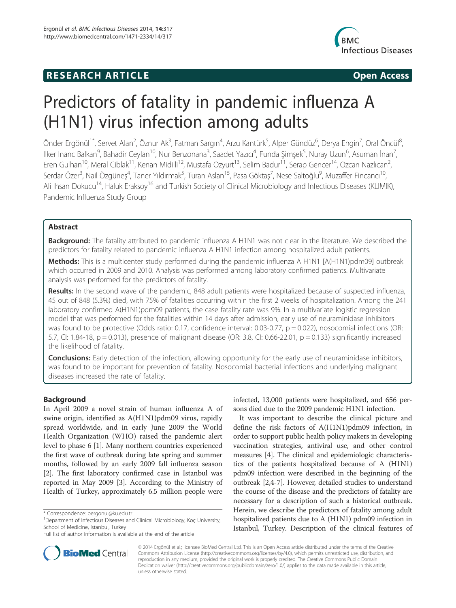## **RESEARCH ARTICLE Example 2014 CONSIDERING CONSIDERING CONSIDERING CONSIDERING CONSIDERING CONSIDERING CONSIDERING CONSIDERING CONSIDERING CONSIDERING CONSIDERING CONSIDERING CONSIDERING CONSIDERING CONSIDERING CONSIDE**



# Predictors of fatality in pandemic influenza A (H1N1) virus infection among adults

Önder Ergönül<sup>1\*</sup>, Servet Alan<sup>2</sup>, Öznur Ak<sup>3</sup>, Fatman Sargın<sup>4</sup>, Arzu Kantürk<sup>5</sup>, Alper Gündüz<sup>6</sup>, Derya Engin<sup>7</sup>, Oral Öncül<sup>8</sup> ,<br>, Ilker Inanc Balkan<sup>9</sup>, Bahadir Ceylan<sup>10</sup>, Nur Benzonana<sup>3</sup>, Saadet Yazıcı<sup>4</sup>, Funda Şimşek<sup>5</sup>, Nuray Uzun<sup>6</sup>, Asuman İnan<sup>7</sup> , Eren Gulhan<sup>10</sup>, Meral Ciblak<sup>11</sup>, Kenan Midilli<sup>12</sup>, Mustafa Ozyurt<sup>13</sup>, Selim Badur<sup>11</sup>, Serap Gencer<sup>14</sup>, Ozcan Nazlıcan<sup>2</sup>, , Serdar Özer<sup>3</sup>, Nail Özgüneş<sup>4</sup>, Taner Yıldırmak<sup>5</sup>, Turan Aslan<sup>15</sup>, Pasa Göktaş<sup>7</sup>, Nese Saltoğlu<sup>9</sup>, Muzaffer Fincancı<sup>10</sup>, Ali Ihsan Dokucu<sup>14</sup>, Haluk Eraksoy<sup>16</sup> and Turkish Society of Clinical Microbiology and Infectious Diseases (KLIMIK), Pandemic Influenza Study Group

### Abstract

**Background:** The fatality attributed to pandemic influenza A H1N1 was not clear in the literature. We described the predictors for fatality related to pandemic influenza A H1N1 infection among hospitalized adult patients.

Methods: This is a multicenter study performed during the pandemic influenza A H1N1 [A(H1N1)pdm09] outbreak which occurred in 2009 and 2010. Analysis was performed among laboratory confirmed patients. Multivariate analysis was performed for the predictors of fatality.

Results: In the second wave of the pandemic, 848 adult patients were hospitalized because of suspected influenza, 45 out of 848 (5.3%) died, with 75% of fatalities occurring within the first 2 weeks of hospitalization. Among the 241 laboratory confirmed A(H1N1)pdm09 patients, the case fatality rate was 9%. In a multivariate logistic regression model that was performed for the fatalities within 14 days after admission, early use of neuraminidase inhibitors was found to be protective (Odds ratio: 0.17, confidence interval: 0.03-0.77,  $p = 0.022$ ), nosocomial infections (OR: 5.7, CI: 1.84-18,  $p = 0.013$ ), presence of malignant disease (OR: 3.8, CI: 0.66-22.01,  $p = 0.133$ ) significantly increased the likelihood of fatality.

**Conclusions:** Early detection of the infection, allowing opportunity for the early use of neuraminidase inhibitors, was found to be important for prevention of fatality. Nosocomial bacterial infections and underlying malignant diseases increased the rate of fatality.

#### Background

In April 2009 a novel strain of human influenza A of swine origin, identified as A(H1N1)pdm09 virus, rapidly spread worldwide, and in early June 2009 the World Health Organization (WHO) raised the pandemic alert level to phase 6 [1]. Many northern countries experienced the first wave of outbreak during late spring and summer months, followed by an early 2009 fall influenza season [2]. The first laboratory confirmed case in Istanbul was reported in May 2009 [3]. According to the Ministry of Health of Turkey, approximately 6.5 million people were



It was important to describe the clinical picture and define the risk factors of A(H1N1)pdm09 infection, in order to support public health policy makers in developing vaccination strategies, antiviral use, and other control measures [4]. The clinical and epidemiologic characteristics of the patients hospitalized because of A (H1N1) pdm09 infection were described in the beginning of the outbreak [2,4-7]. However, detailed studies to understand the course of the disease and the predictors of fatality are necessary for a description of such a historical outbreak. Herein, we describe the predictors of fatality among adult hospitalized patients due to A (H1N1) pdm09 infection in Istanbul, Turkey. Description of the clinical features of



© 2014 Ergönül et al.; licensee BioMed Central Ltd. This is an Open Access article distributed under the terms of the Creative Commons Attribution License (http://creativecommons.org/licenses/by/4.0), which permits unrestricted use, distribution, and reproduction in any medium, provided the original work is properly credited. The Creative Commons Public Domain Dedication waiver (http://creativecommons.org/publicdomain/zero/1.0/) applies to the data made available in this article, unless otherwise stated.

<sup>\*</sup> Correspondence: oergonul@ku.edu.tr <sup>1</sup>

<sup>&</sup>lt;sup>1</sup>Department of Infectious Diseases and Clinical Microbiology, Koç University, School of Medicine, Istanbul, Turkey

Full list of author information is available at the end of the article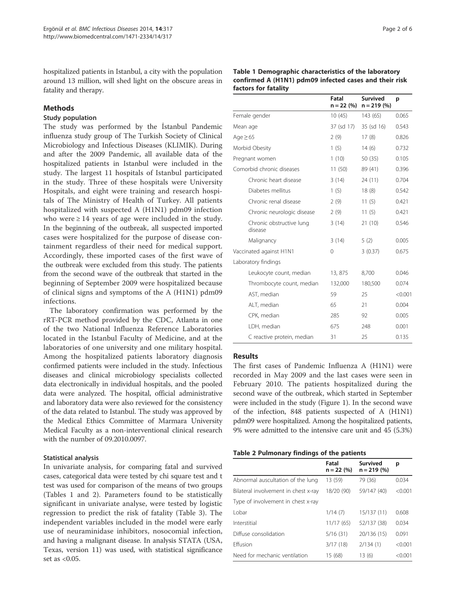hospitalized patients in Istanbul, a city with the population around 13 million, will shed light on the obscure areas in fatality and therapy.

#### Methods

#### Study population

The study was performed by the İstanbul Pandemic influenza study group of The Turkish Society of Clinical Microbiology and Infectious Diseases (KLIMIK). During and after the 2009 Pandemic, all available data of the hospitalized patients in Istanbul were included in the study. The largest 11 hospitals of Istanbul participated in the study. Three of these hospitals were University Hospitals, and eight were training and research hospitals of The Ministry of Health of Turkey. All patients hospitalized with suspected A (H1N1) pdm09 infection who were  $\geq$  14 years of age were included in the study. In the beginning of the outbreak, all suspected imported cases were hospitalized for the purpose of disease containment regardless of their need for medical support. Accordingly, these imported cases of the first wave of the outbreak were excluded from this study. The patients from the second wave of the outbreak that started in the beginning of September 2009 were hospitalized because of clinical signs and symptoms of the A (H1N1) pdm09 infections.

The laboratory confirmation was performed by the rRT-PCR method provided by the CDC, Atlanta in one of the two National Influenza Reference Laboratories located in the Istanbul Faculty of Medicine, and at the laboratories of one university and one military hospital. Among the hospitalized patients laboratory diagnosis confirmed patients were included in the study. Infectious diseases and clinical microbiology specialists collected data electronically in individual hospitals, and the pooled data were analyzed. The hospital, official administrative and laboratory data were also reviewed for the consistency of the data related to Istanbul. The study was approved by the Medical Ethics Committee of Marmara University Medical Faculty as a non-interventional clinical research with the number of 09.2010.0097.

#### Statistical analysis

In univariate analysis, for comparing fatal and survived cases, categorical data were tested by chi square test and t test was used for comparison of the means of two groups (Tables 1 and 2). Parameters found to be statistically significant in univariate analyse, were tested by logistic regression to predict the risk of fatality (Table 3). The independent variables included in the model were early use of neuraminidase inhibitors, nosocomial infection, and having a malignant disease. In analysis STATA (USA, Texas, version 11) was used, with statistical significance set as <0.05.

| Table 1 Demographic characteristics of the laboratory  |
|--------------------------------------------------------|
| confirmed A (H1N1) pdm09 infected cases and their risk |
| factors for fatality                                   |

|                                     | Fatal<br>$n = 22 (%)$ | <b>Survived</b><br>$n = 219(%)$ | p       |
|-------------------------------------|-----------------------|---------------------------------|---------|
| Female gender                       | 10(45)                | 143 (65)                        | 0.065   |
| Mean age                            | 37 (sd 17)            | 35 (sd 16)                      | 0.543   |
| Age $\geq 65$                       | 2(9)                  | 17(8)                           | 0.826   |
| Morbid Obesity                      | 1(5)                  | 14(6)                           | 0.732   |
| Pregnant women                      | 1(10)                 | 50 (35)                         | 0.105   |
| Comorbid chronic diseases           | 11(50)                | 89 (41)                         | 0.396   |
| Chronic heart disease               | 3(14)                 | 24 (11)                         | 0.704   |
| Diabetes mellitus                   | 1(5)                  | 18(8)                           | 0.542   |
| Chronic renal disease               | 2(9)                  | 11(5)                           | 0.421   |
| Chronic neurologic disease          | 2(9)                  | 11(5)                           | 0.421   |
| Chronic obstructive lung<br>disease | 3(14)                 | 21 (10)                         | 0.546   |
| Malignancy                          | 3(14)                 | 5(2)                            | 0.005   |
| Vaccinated against H1N1             | $\Omega$              | 3(0.37)                         | 0.675   |
| Laboratory findings                 |                       |                                 |         |
| Leukocyte count, median             | 13,875                | 8,700                           | 0.046   |
| Thrombocyte count, median           | 132,000               | 180,500                         | 0.074   |
| AST, median                         | 59                    | 25                              | < 0.001 |
| ALT, median                         | 65                    | 21                              | 0.004   |
| CPK, median                         | 285                   | 92                              | 0.005   |
| LDH, median                         | 675                   | 248                             | 0.001   |
| C reactive protein, median          | 31                    | 25                              | 0.135   |

#### Results

The first cases of Pandemic Influenza A (H1N1) were recorded in May 2009 and the last cases were seen in February 2010. The patients hospitalized during the second wave of the outbreak, which started in September were included in the study (Figure 1). In the second wave of the infection, 848 patients suspected of A (H1N1) pdm09 were hospitalized. Among the hospitalized patients, 9% were admitted to the intensive care unit and 45 (5.3%)

#### Table 2 Pulmonary findings of the patients

|                                      | Fatal<br>$n = 22 (%)$ | <b>Survived</b><br>$n = 219(%)$ | р       |
|--------------------------------------|-----------------------|---------------------------------|---------|
| Abnormal auscultation of the lung    | 13 (59)               | 79 (36)                         | 0.034   |
| Bilateral involvement in chest x-ray | 18/20 (90)            | 59/147 (40)                     | < 0.001 |
| Type of involvement in chest x-ray   |                       |                                 |         |
| I obar                               | 1/14(7)               | 15/137 (11)                     | 0.608   |
| Interstitial                         | 11/17(65)             | 52/137 (38)                     | 0.034   |
| Diffuse consolidation                | 5/16(31)              | 20/136 (15)                     | 0.091   |
| Fffusion                             | 3/17(18)              | 2/134(1)                        | < 0.001 |
| Need for mechanic ventilation        | 15 (68)               | 13(6)                           | < 0.001 |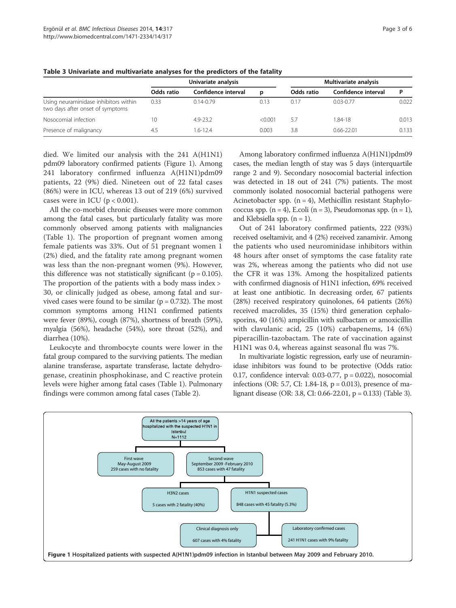|                                                                           | Univariate analysis |                     |         | Multivariate analysis |                     |       |
|---------------------------------------------------------------------------|---------------------|---------------------|---------|-----------------------|---------------------|-------|
|                                                                           | Odds ratio          | Confidence interval | D       | Odds ratio            | Confidence interval | P     |
| Using neuraminidase inhibitors within<br>two days after onset of symptoms | 0.33                | $0.14 - 0.79$       | 0.13    | 0.17                  | $0.03 - 0.77$       | 0.022 |
| Nosocomial infection                                                      | 10                  | 4.9-23.2            | < 0.001 | 57                    | 1.84-18             | 0.013 |
| Presence of malignancy                                                    | 4.5                 | 1.6-12.4            | 0.003   | 3.8                   | $0.66 - 22.01$      | 0.133 |

Table 3 Univariate and multivariate analyses for the predictors of the fatality

died. We limited our analysis with the 241 A(H1N1) pdm09 laboratory confirmed patients (Figure 1). Among 241 laboratory confirmed influenza A(H1N1)pdm09 patients, 22 (9%) died. Nineteen out of 22 fatal cases (86%) were in ICU, whereas 13 out of 219 (6%) survived cases were in ICU ( $p < 0.001$ ).

All the co-morbid chronic diseases were more common among the fatal cases, but particularly fatality was more commonly observed among patients with malignancies (Table 1). The proportion of pregnant women among female patients was 33%. Out of 51 pregnant women 1 (2%) died, and the fatality rate among pregnant women was less than the non-pregnant women (9%). However, this difference was not statistically significant ( $p = 0.105$ ). The proportion of the patients with a body mass index > 30, or clinically judged as obese, among fatal and survived cases were found to be similar ( $p = 0.732$ ). The most common symptoms among H1N1 confirmed patients were fever (89%), cough (87%), shortness of breath (59%), myalgia (56%), headache (54%), sore throat (52%), and diarrhea (10%).

Leukocyte and thrombocyte counts were lower in the fatal group compared to the surviving patients. The median alanine transferase, aspartate transferase, lactate dehydrogenase, creatinin phosphokinase, and C reactive protein levels were higher among fatal cases (Table 1). Pulmonary findings were common among fatal cases (Table 2).

Among laboratory confirmed influenza A(H1N1)pdm09 cases, the median length of stay was 5 days (interquartile range 2 and 9). Secondary nosocomial bacterial infection was detected in 18 out of 241 (7%) patients. The most commonly isolated nosocomial bacterial pathogens were Acinetobacter spp.  $(n = 4)$ , Methicillin resistant Staphylococcus spp.  $(n = 4)$ , E.coli  $(n = 3)$ , Pseudomonas spp.  $(n = 1)$ , and Klebsiella spp.  $(n = 1)$ .

Out of 241 laboratory confirmed patients, 222 (93%) received oseltamivir, and 4 (2%) received zanamivir. Among the patients who used neurominidase inhibitors within 48 hours after onset of symptoms the case fatality rate was 2%, whereas among the patients who did not use the CFR it was 13%. Among the hospitalized patients with confirmed diagnosis of H1N1 infection, 69% received at least one antibiotic. In decreasing order, 67 patients (28%) received respiratory quinolones, 64 patients (26%) received macrolides, 35 (15%) third generation cephalosporins, 40 (16%) ampicillin with sulbactam or amoxicillin with clavulanic acid, 25 (10%) carbapenems, 14 (6%) piperacillin-tazobactam. The rate of vaccination against H1N1 was 0.4, whereas against seasonal flu was 7%.

In multivariate logistic regression, early use of neuraminidase inhibitors was found to be protective (Odds ratio: 0.17, confidence interval: 0.03-0.77, p = 0.022), nosocomial infections (OR: 5.7, CI: 1.84-18,  $p = 0.013$ ), presence of malignant disease (OR: 3.8, CI: 0.66-22.01, p = 0.133) (Table 3).

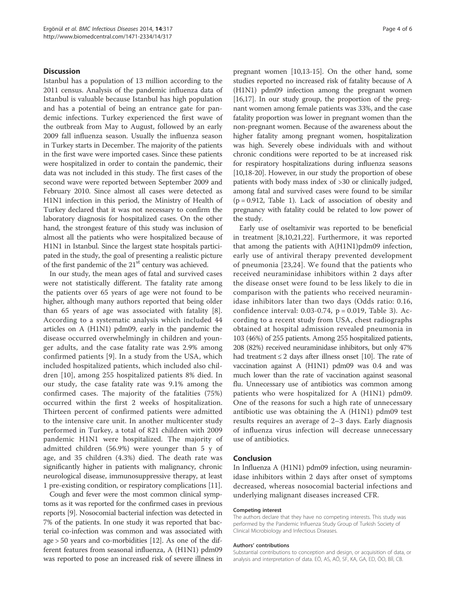#### **Discussion**

Istanbul has a population of 13 million according to the 2011 census. Analysis of the pandemic influenza data of Istanbul is valuable because Istanbul has high population and has a potential of being an entrance gate for pandemic infections. Turkey experienced the first wave of the outbreak from May to August, followed by an early 2009 fall influenza season. Usually the influenza season in Turkey starts in December. The majority of the patients in the first wave were imported cases. Since these patients were hospitalized in order to contain the pandemic, their data was not included in this study. The first cases of the second wave were reported between September 2009 and February 2010. Since almost all cases were detected as H1N1 infection in this period, the Ministry of Health of Turkey declared that it was not necessary to confirm the laboratory diagnosis for hospitalized cases. On the other hand, the strongest feature of this study was inclusion of almost all the patients who were hospitalized because of H1N1 in Istanbul. Since the largest state hospitals participated in the study, the goal of presenting a realistic picture of the first pandemic of the  $21<sup>st</sup>$  century was achieved.

In our study, the mean ages of fatal and survived cases were not statistically different. The fatality rate among the patients over 65 years of age were not found to be higher, although many authors reported that being older than 65 years of age was associated with fatality [8]. According to a systematic analysis which included 44 articles on A (H1N1) pdm09, early in the pandemic the disease occurred overwhelmingly in children and younger adults, and the case fatality rate was 2.9% among confirmed patients [9]. In a study from the USA, which included hospitalized patients, which included also children [10], among 255 hospitalized patients 8% died. In our study, the case fatality rate was 9.1% among the confirmed cases. The majority of the fatalities (75%) occurred within the first 2 weeks of hospitalization. Thirteen percent of confirmed patients were admitted to the intensive care unit. In another multicenter study performed in Turkey, a total of 821 children with 2009 pandemic H1N1 were hospitalized. The majority of admitted children (56.9%) were younger than 5 y of age, and 35 children (4.3%) died. The death rate was significantly higher in patients with malignancy, chronic neurological disease, immunosuppressive therapy, at least 1 pre-existing condition, or respiratory complications [11].

Cough and fever were the most common clinical symptoms as it was reported for the confirmed cases in previous reports [9]. Nosocomial bacterial infection was detected in 7% of the patients. In one study it was reported that bacterial co-infection was common and was associated with age > 50 years and co-morbidities [12]. As one of the different features from seasonal influenza, A (H1N1) pdm09 was reported to pose an increased risk of severe illness in

pregnant women [10,13-15]. On the other hand, some studies reported no increased risk of fatality because of A (H1N1) pdm09 infection among the pregnant women [16,17]. In our study group, the proportion of the pregnant women among female patients was 33%, and the case fatality proportion was lower in pregnant women than the non-pregnant women. Because of the awareness about the higher fatality among pregnant women, hospitalization was high. Severely obese individuals with and without chronic conditions were reported to be at increased risk for respiratory hospitalizations during influenza seasons [10,18-20]. However, in our study the proportion of obese patients with body mass index of >30 or clinically judged, among fatal and survived cases were found to be similar  $(p = 0.912,$  Table 1). Lack of association of obesity and pregnancy with fatality could be related to low power of the study.

Early use of oseltamivir was reported to be beneficial in treatment [8,10,21,22]. Furthermore, it was reported that among the patients with A(H1N1)pdm09 infection, early use of antiviral therapy prevented development of pneumonia [23,24]. We found that the patients who received neuraminidase inhibitors within 2 days after the disease onset were found to be less likely to die in comparison with the patients who received neuraminidase inhibitors later than two days (Odds ratio: 0.16, confidence interval: 0.03-0.74, p = 0.019, Table 3). According to a recent study from USA, chest radiographs obtained at hospital admission revealed pneumonia in 103 (46%) of 255 patients. Among 255 hospitalized patients, 208 (82%) received neuraminidase inhibitors, but only 47% had treatment  $\leq 2$  days after illness onset [10]. The rate of vaccination against A (H1N1) pdm09 was 0.4 and was much lower than the rate of vaccination against seasonal flu. Unnecessary use of antibiotics was common among patients who were hospitalized for A (H1N1) pdm09. One of the reasons for such a high rate of unnecessary antibiotic use was obtaining the A (H1N1) pdm09 test results requires an average of 2–3 days. Early diagnosis of influenza virus infection will decrease unnecessary use of antibiotics.

#### Conclusion

In Influenza A (H1N1) pdm09 infection, using neuraminidase inhibitors within 2 days after onset of symptoms decreased, whereas nosocomial bacterial infections and underlying malignant diseases increased CFR.

#### Competing interest

The authors declare that they have no competing interests. This study was performed by the Pandemic Influenza Study Group of Turkish Society of Clinical Microbiology and Infectious Diseases.

#### Authors' contributions

Substantial contributions to conception and design, or acquisition of data, or analysis and interpretation of data. EÖ, AS, AÖ, SF, KA, GA, ED, ÖO, Bİİ, CB.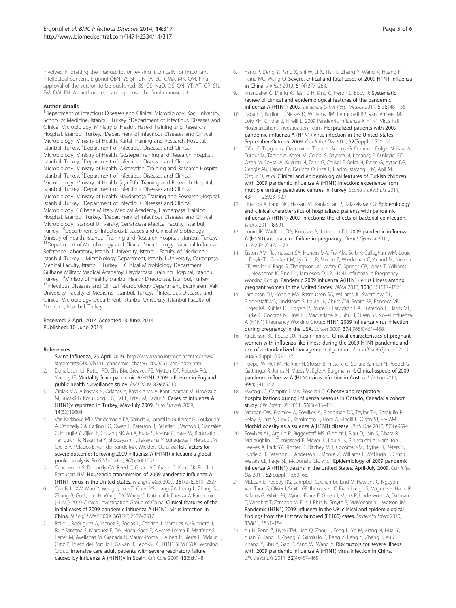involved in drafting the manuscript or revising it critically for important intellectual content. Ergönül ÖBN, YS ŞF, UN, İA, EG, CMA, MK, OM. Final approval of the version to be published. BS, GS, NaÖ, ÖS, ÖN, YT, AT, GP, SN, FM, DAİ, EH. All authors read and approve the final manuscript.

#### Author details

<sup>1</sup>Department of Infectious Diseases and Clinical Microbiology, Koç University, School of Medicine, Istanbul, Turkey. <sup>2</sup>Department of Infectious Diseases and Clinical Microbiology, Ministry of Health, Haseki Training and Research Hospital, Istanbul, Turkey. <sup>3</sup>Department of Infectious Diseases and Clinical Microbiology, Ministry of Health, Kartal Training and Research Hospital, Istanbul, Turkey. <sup>4</sup> Department of Infectious Diseases and Clinical Microbiology, Ministry of Health, Göztepe Training and Research Hospital, Istanbul, Turkey. <sup>5</sup>Department of Infectious Diseases and Clinical Microbiology, Ministry of Health, Okmeydanı Training and Research Hospital, Istanbul, Turkey. <sup>6</sup>Department of Infectious Diseases and Clinical Microbiology, Ministry of Health, Şişli Etfal Training and Research Hospital, Istanbul, Turkey. <sup>7</sup>Department of Infectious Diseases and Clinical Microbiology, Ministry of Health, Haydarpaşa Training and Research Hospital, Istanbul, Turkey. <sup>8</sup>Department of Infectious Diseases and Clinical Microbiology, Gülhane Military Medical Academy, Haydarpaşa Training Hospital, Istanbul, Turkey. <sup>9</sup>Department of Infectious Diseases and Clinical Microbiology, Istanbul University, Cerrahpaşa Medical Faculty, Istanbul, Turkey. <sup>10</sup>Department of Infectious Diseases and Clinical Microbiology, Ministry of Health, Istanbul Training and Research Hospital, Istanbul, Turkey. <sup>11</sup>Department of Microbiology and Clinical Microbiology, National Influenza Reference Laboratory, Istanbul University, Istanbul Faculty of Medicine, Istanbul, Turkey. 12Microbiology Department, Istanbul University, Cerrahpaşa Medical Faculty, Istanbul, Turkey. <sup>13</sup>Clinical Microbiology Department, Gülhane Military Medical Academy, Haydarpaşa Training Hospital, Istanbul, Turkey. <sup>14</sup>Ministry of Health, Istanbul Health Directorate, Istanbul, Turkey.<br><sup>15</sup>Infectious Diseases and Clinical Microbiology Department, Bezmialem Vakif University, Faculty of Medicine, Istanbul, Turkey. <sup>16</sup>Infectious Diseases and Clinical Microbiology Department, Istanbul University, Istanbul Faculty of Medicine, Istanbul, Turkey.

#### Received: 7 April 2014 Accepted: 3 June 2014 Published: 10 June 2014

#### References

- 1. Swine Influenza, 25 April 2009. http://www.who.int/mediacentre/news/ statements/2009/h1n1\_pandemic\_phase6\_20090611/en/index.html.
- 2. Donaldson LJ, Rutter PD, Ellis BM, Greaves FE, Mytton OT, Pebody RG, Yardley IE: Mortality from pandemic A/H1N1 2009 influenza in England: public health surveillance study. BMJ 2009, 339:b5213.
- 3. Ciblak MA, Albayrak N, Odabas Y, Basak Altas A, Kanturvardar M, Hasoksuz M, Sucakli B, Korukluoglu G, Bal E, Ertek M, Badur S: Cases of influenza A (H1N1)v reported in Turkey, May-July 2009. Euro Surveill 2009, 14(32):19304.
- 4. Van Kerkhove MD, Vandemaele KA, Shinde V, Jaramillo-Gutierrez G, Koukounari A, Donnelly CA, Carlino LO, Owen R, Paterson B, Pelletier L, Vachon J, Gonzalez C, Hongjie Y, Zijian F, Chuang SK, Au A, Buda S, Krause G, Haas W, Bonmarin I, Taniguichi K, Nakajima K, Shobayashi T, Takayama Y, Sunagawa T, Heraud JM, Orelle A, Palacios E, van der Sande MA, Wielders CC, et al: Risk factors for severe outcomes following 2009 influenza A (H1N1) infection: a global pooled analysis. PLoS Med 2011, 8(7):e1001053.
- 5. Cauchemez S, Donnelly CA, Reed C, Ghani AC, Fraser C, Kent CK, Finelli L, Ferguson NM: Household transmission of 2009 pandemic influenza A (H1N1) virus in the United States. N Engl J Med 2009, 361(27):2619–2627.
- 6. Cao B, Li XW, Mao Y, Wang J, Lu HZ, Chen YS, Liang ZA, Liang L, Zhang SJ, Zhang B, Gu L, Lu LH, Wang DY, Wang C, National Influenza A Pandemic (H1N1) 2009 Clinical Investigation Group of China: Clinical features of the initial cases of 2009 pandemic influenza A (H1N1) virus infection in China. N Engl J Med 2009, 361(26):2507–2517.
- Rello J, Rodriguez A, Ibanez P, Socias L, Cebrian J, Marques A, Guerrero J, Ruiz-Santana S, Marquez E, Del Nogal-Saez F, Alvarez-Lerma F, Martínez S, Ferrer M, Avellanas M, Granada R, Maraví-Poma E, Albert P, Sierra R, Vidaur L, Ortiz P, Prieto del Portillo I, Galván B, León-Gil C, H1N1 SEMICYUC Working Group: Intensive care adult patients with severe respiratory failure caused by Influenza A (H1N1)v in Spain. Crit Care 2009, 13(5):R148.
- 
- Yang P, Deng Y, Pang X, Shi W, Li X, Tian L, Zhang Y, Wang X, Huang F, Raina MC, Wang Q: Severe, critical and fatal cases of 2009 H1N1 influenza in China. J Infect 2010, 61(4):277–283.
- 9. Khandaker G, Dierig A, Rashid H, King C, Heron L, Booy R: Systematic review of clinical and epidemiological features of the pandemic influenza A (H1N1) 2009. Influenza Other Respi Viruses 2011, 5(3):148–156.
- 10. Ragan P, Bullion L, Neises D, Williams RM, Petruccelli BP, Vandermeer M, Lofy KH, Gindler J, Finelli L, 2009 Pandemic Influenza A H1N1 Virus Fall Hospitalizations Investigation Team: Hospitalized patients with 2009 pandemic influenza A (H1N1) virus infection in the United States– .<br>September-October 2009. Clin Infect Dis 2011, 52(Suppl 1):S50-59.
- 11. Ciftci E, Tuygun N, Ozdemir H, Tezer H, Sensoy G, Devrim I, Dalgic N, Kara A, Turgut M, Tapisiz A, Keser M, Celebi S, Bayram N, Kocabaş E, Dinleyici EC, Ozen M, Soysal A, Kuyucu N, Tanir G, Celikel E, Belet N, Evren G, Aytaç DB, Cengiz AB, Canoz PY, Derinoz O, Ince E, Hacimustafaoglu M, Anil M, Ozgur O, et al: Clinical and epidemiological features of Turkish children with 2009 pandemic influenza A (H1N1) infection: experience from multiple tertiary paediatric centres in Turkey. Scand J Infect Dis 2011, 43(11–12):923–929.
- 12. Dhanoa A, Fang NC, Hassan SS, Kaniappan P, Rajasekaram G: Epidemiology and clinical characteristics of hospitalized patients with pandemic influenza A (H1N1) 2009 infections: the effects of bacterial coinfection. Virol J 2011, 8:501.
- 13. Louie JK, Wadford DA, Norman A, Jamieson DJ: 2009 pandemic influenza A (H1N1) and vaccine failure in pregnancy. Obstet Gynecol 2011, 117(2 Pt 2):470–472.
- 14. Siston AM, Rasmussen SA, Honein MA, Fry AM, Seib K, Callaghan WM, Louie J, Doyle TJ, Crockett M, Lynfield R, Moore Z, Wiedeman C, Anand M, Nielsen CF, Waller K, Page S, Thompson JM, Avery C, Springs CB, Jones T, Williams JL, Newsome K, Finelli L, Jamieson DJ; P, H1N1 Influenza in Pregnancy Working Group: Pandemic 2009 influenza A(H1N1) virus illness among pregnant women in the United States. JAMA 2010, 303(15):1517–1525.
- 15. Jamieson DJ, Honein MA, Rasmussen SA, Williams JL, Swerdlow DL, Biggerstaff MS, Lindstrom S, Louie JK, Christ CM, Bohm SR, Fonseca VP, Ritger KA, Kuhles DJ, Eggers P, Bruce H, Davidson HA, Lutterloh E, Harris ML, Burke C, Cocoros N, Finelli L, MacFarlane KF, Shu B, Olsen SJ, Novel Influenza A (H1N1) Pregnancy Working Group: H1N1 2009 influenza virus infection during pregnancy in the USA. Lancet 2009, 374(9688):451–458.
- 16. Anderson BL, Rouse DJ, Fitzsimmons C: Clinical characteristics of pregnant women with influenza-like illness during the 2009 H1N1 pandemic and use of a standardized management algorithm. Am J Obstet Gynecol 2011, 204(6 Suppl 1):S31–37.
- 17. Poeppl W, Hell M, Herkner H, Stoiser B, Fritsche G, Schurz-Bamieh N, Poeppl G, Gattringer R, Jones N, Maass M, Egle A, Burgmann H: Clinical aspects of 2009 pandemic influenza A (H1N1) virus infection in Austria. Infection 2011, 39(4):341–352.
- 18. Kwong JC, Campitelli MA, Rosella LC: Obesity and respiratory hospitalizations during influenza seasons in Ontario, Canada: a cohort study. Clin Infect Dis 2011, 53(5):413-421.
- 19. Morgan OW, Bramley A, Fowlkes A, Freedman DS, Taylor TH, Gargiullo P, Belay B, Jain S, Cox C, Kamimoto L, Fiore A, Finelli L, Olsen SJ, Fry AM: Morbid obesity as a ssuenza A(H1N1) disease. PLoS One 2010, 5(3):e9694.
- 20. Fowlkes AL, Arguin P, Biggerstaff MS, Gindler J, Blau D, Jain S, Dhara R, McLaughlin J, Turnipseed E, Meyer JJ, Louie JK, Siniscalchi A, Hamilton JJ, Reeves A, Park SY, Richter D, Ritchey MD, Cocoros NM, Blythe D, Peters S, Lynfield R, Peterson L, Anderson J, Moore Z, Williams R, McHugh L, Cruz C, Waters CL, Page SL, McDonald CK, et al: Epidemiology of 2009 pandemic influenza A (H1N1) deaths in the United States, April-July 2009. Clin Infect Dis 2011, 52(Suppl 1):S60–68.
- 21. McLean E, Pebody RG, Campbell C, Chamberland M, Hawkins C, Nguyen-Van-Tam JS, Oliver I, Smith GE, Ihekweazu C, Bracebridge S, Maguire H, Harris R, Kafatos G, White PJ, Wynne-Evans E, Green J, Myers R, Underwood A, Dallman T, Wreghitt T, Zambon M, Ellis J, Phin N, Smyth B, McMenamin J, Watson JM: Pandemic (H1N1) 2009 influenza in the UK: clinical and epidemiological findings from the first few hundred (FF100) cases. Epidemiol Infect 2010, 138(11):1531–1541.
- 22. Yu H, Feng Z, Uyeki TM, Liao Q, Zhou L, Feng L, Ye M, Xiang N, Huai Y, Yuan Y, Jiang H, Zheng Y, Gargiullo P, Peng Z, Feng Y, Zheng J, Xu C, Zhang Y, Shu Y, Gao Z, Yang W, Wang Y: Risk factors for severe illness with 2009 pandemic influenza A (H1N1) virus infection in China. Clin Infect Dis 2011, 52(4):457–465.